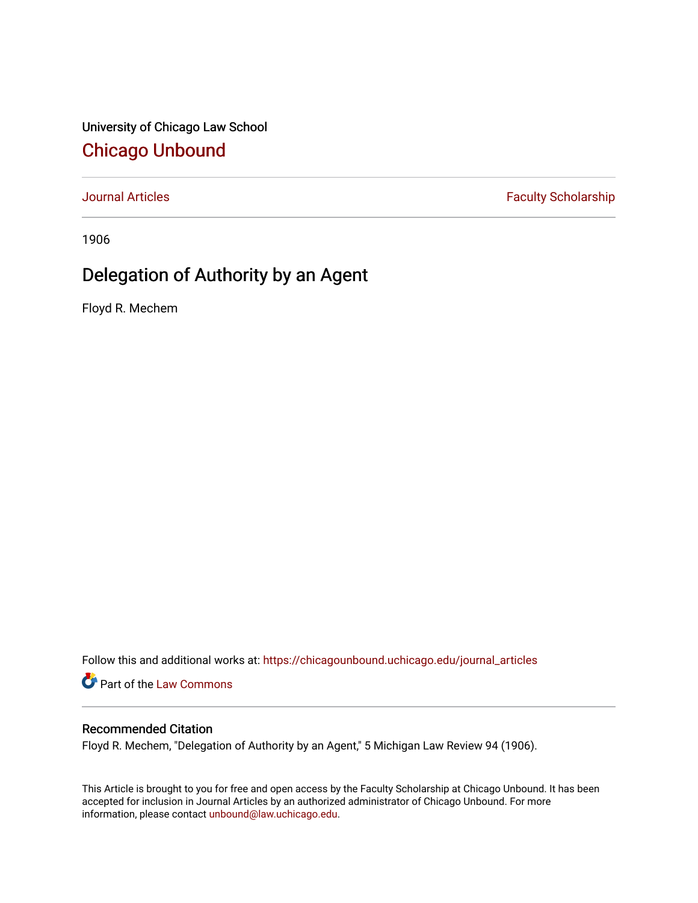University of Chicago Law School [Chicago Unbound](https://chicagounbound.uchicago.edu/)

[Journal Articles](https://chicagounbound.uchicago.edu/journal_articles) **Faculty Scholarship Faculty Scholarship** 

1906

## Delegation of Authority by an Agent

Floyd R. Mechem

Follow this and additional works at: [https://chicagounbound.uchicago.edu/journal\\_articles](https://chicagounbound.uchicago.edu/journal_articles?utm_source=chicagounbound.uchicago.edu%2Fjournal_articles%2F8897&utm_medium=PDF&utm_campaign=PDFCoverPages) 

Part of the [Law Commons](http://network.bepress.com/hgg/discipline/578?utm_source=chicagounbound.uchicago.edu%2Fjournal_articles%2F8897&utm_medium=PDF&utm_campaign=PDFCoverPages)

## Recommended Citation

Floyd R. Mechem, "Delegation of Authority by an Agent," 5 Michigan Law Review 94 (1906).

This Article is brought to you for free and open access by the Faculty Scholarship at Chicago Unbound. It has been accepted for inclusion in Journal Articles by an authorized administrator of Chicago Unbound. For more information, please contact [unbound@law.uchicago.edu](mailto:unbound@law.uchicago.edu).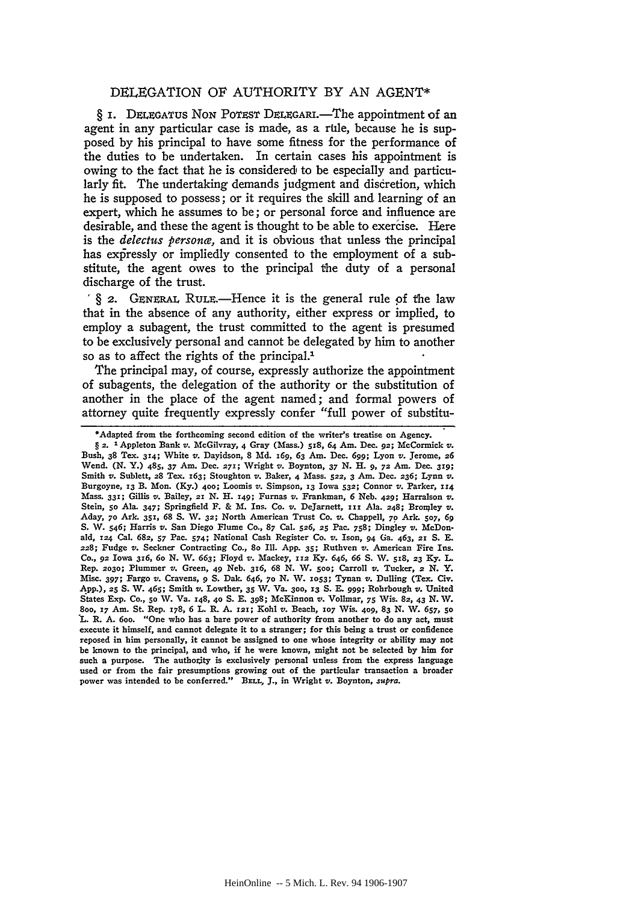## DELEGATION OF AUTHORITY BY AN AGENT\*

 $\S$  I. DELEGATUS NON POTEST DELEGARI.—The appointment of an agent in any particular case is made, as a rtile, because he is supposed by his principal to have some fitness for the performance of the duties to be undertaken. In certain cases his appointment is owing to the fact that he is considered, to be especially and particularly fit. The undertaking demands judgment and discretion, which he is supposed to possess; or it requires the skill and learning of an expert, which he assumes to be; or personal force and influence are desirable, and these the agent is thought to be able to exercise. Here is the *delectus personce,* and it is obvious that unless the principal has expressly or impliedly consented to the employment of a substitute, the agent owes to the principal the duty of a personal discharge of the trust.

*I*§ 2. GENERAL RULE.—Hence it is the general rule of the law that in the absence of any authority, either express or implied, to employ a subagent, the trust committed to the agent is presumed to be exclusively personal and cannot be delegated **by** him to another so as to affect the rights of the principal.1

The principal may, of course, expressly authorize the appointment of subagents, the delegation of the authority or the substitution of another in the place of the agent named; and formal powers of attorney quite frequently expressly confer "full power of substitu-

<sup>\*</sup>Adapted from the forthcoming second edition of the writer's treatise on Agency.

<sup>§</sup> **2. 1** Appleton Bank *v.* McGilvray, 4 Gray (Mass.) 5x8, 64 Am. Dec. **92;** McCormick *v.* Bush, **38** Tex. **314;** White *v.* Dayidson, **8 Md. 169, 63** Am. Dec. **699;** Lyon v. Jerome, **26** Wend. **(N. Y.)** 485, **37** Am. Dec. **271;** Wright *v.* Boynton, **37** N. H. **9, 72** Am. Dec. **319;** Smith v. Sublett, **28** Tex. **163;** Stoughton *v.* Baker, **4** Mass. *522,* **3 Am.** Dec. **236;** Lynn v. Burgoyne, **13** B. Mon. **(Ky.) 4oo;** Loomis v. Simpson, **13** Iowa **532;** Connor v. Parker, **114** Mass. **331;** Gillis z'. Bailey, *21* **N.** H. **149;** Furnas v. Frankman, **6 Neb. 429;** Harralson v. Stein, **5o** Ala. 347; Springfield F. & **M.** Ins. Co. v. DeJarnett, **iii** Ala. **248;** Bronfley **V.** Aday, **7o** Ark. **351, 68 S.** W. *32;* North American Trust Co. v. Chappell, **79** Ark. **507, 69 S.** W. 546; Harris v. San Diego Flume **Co., 87** Cal. *526, 25* Pac. **758;** Dingley v. McDonaid, *124* Cal. **682, 57** Pac. 574; National Cash Register Co. v. Ison, 94 Ga. 463, **21 S. E. 228;** Fudge *v.* Seckner Contracting Co., **80 11.** App. **35;** Ruthven v. American Fire Ins. Co., 92 Iowa 316, 60 N. W. 663; Floyd *v.* Mackey, 112 Ky. 646, 66 S. W. 518, 23 Ky. L. Rep. **2030;** Plummer v. Green, 49 Neb. **316, 68 N.** W. Soo; Carroll v. Tucker, *2* **N. Y.** Misc. 397; Fargo v. Cravens, 9 S. Dak. 646, 70 N. W. 1053; Tynan v. Dulling (Tex. Civ.<br>App.), 25 S. W. 465; Smith v. Lowther, 35 W. Va. 300, 13 S. E. 999; Rohrbough v. United States Exp. Co., So **V.** Va. 148, **40 S. E. 398;** McKinnon v. Vollmar, **75** Wis. **82,** 43 **N.** W. **800, 17** Am. St. Rep. **178,** 6 L. R. **A. 121;** Kohl v. Beach, **107** Wis. **4o9, 83 N.** W. **657, 50** L. R. **A. 6oo.** "One who has a bare power of authority from another to do any act, must execute it himself, and cannot delegate it to a stranger; for this being a trust or confidence reposed in him personally, it cannot be assigned to one whose integrity or ability may not **be** known to the principal, and who, if he were known, might not be selected **by** him for such a purpose. The authority is exclusively personal unless from the express language used or from the fair presumptions growing out of the particular transaction a broader power **was** intended to be conferred." **BELL, J.,** in Wright v. Boynton, *supra.*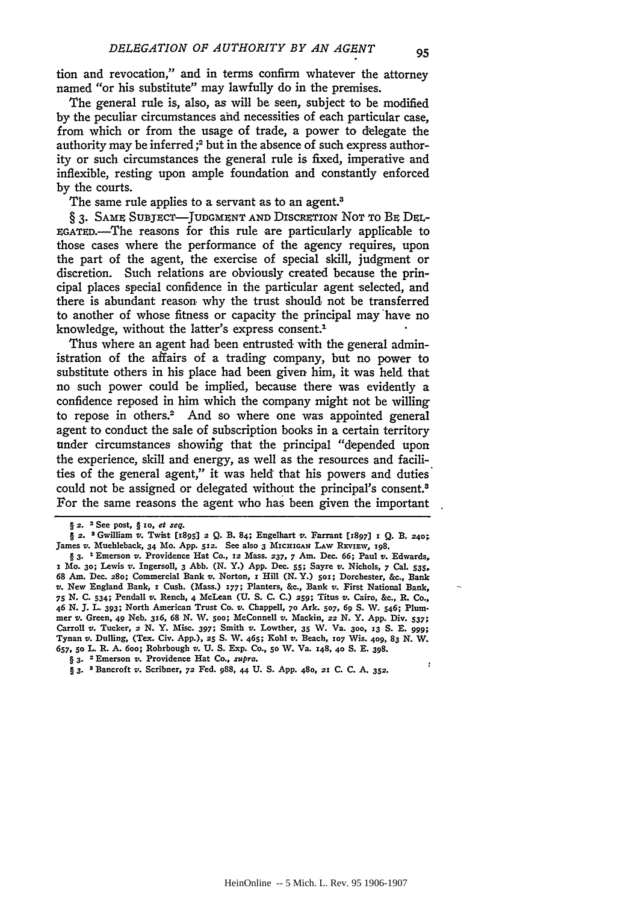tion and revocation," and in terms confirm whatever the attorney named "or his substitute" may lawfully do in the premises.

The general rule is, also, as will be seen, subject to be modified **by** the peculiar circumstances ahd necessities of each particular case, from which or from the usage of trade, a power to delegate the authority may be inferred;<sup>2</sup> but in the absence of such express authority or such circumstances the general rule is fixed, imperative and inflexible, resting upon ample foundation and constantly enforced **by** the courts.

The same rule applies to a servant as to an agent.<sup>3</sup>

§ 3. SAME SUBJECT-JUDGMENT AND DISCRETION NOT TO BE DEL-EGATED.-The reasons for this rule **are** particularly applicable to those cases where the performance of the agency requires, upon the part of the agent, the exercise of special skill, judgment or discretion. Such relations are obviously created because the principal places special confidence in the particular agent selected, and there is abundant reason. why the trust should. not be transferred to another of whose fitness or capacity the principal may'have no knowledge, without the latter's express consent.1

Thus where an agent had been entrusted with the general administration of the aftairs of a trading company, but no power to substitute others in his place had been given him, it was held that no such power could be implied, because there was evidently a confidence reposed in him which the company might not be willing to repose in others.<sup>2</sup> And so where one was appointed general agent to conduct the sale of subscription books in a certain territory under circumstances showing that the principal "depended upon the experience, skill and energy, as well as the resources and facilities of the general agent," it was held' that his powers and duties could not be assigned or delegated without the principal's consent.<sup>3</sup> For the same reasons the agent who has been given the important

*§* **3. 3 Bancroft v. Scribner, 72 Fed. 988, 44 U. S. App. 480, 21 C. C. A. 352.**

 $\boldsymbol{z}$ 

*<sup>§</sup>* **2.** 2 See **post,** § **io,** *et seq.*

*<sup>§</sup>* **2. 3 Gwilliam** *v.* **Twist [x895]** 2 *Q.* **B. 84; Engelhart V. Farrant E18971 I Q. B.** *240;* **James v. Muehleback,** 34 **Mo. App. 512. See also 3 MICHIGAN LAW REviEW, x98.**

*<sup>§</sup>* **3. Emerson v. Providence Hat Co., 12 Mass. 237, 7 Am. Dec. 66; Paul v. Edwards, I M o. 3o; Lewis v. Ingersoll, 3 Abb. (N. Y.) App. Dec. 55; Sayre v. Nichols, 7 Cal. 535, 68** *Am.* **Dec. 28o; Commercial Bank v. Norton, x Hill (N. Y.) 5ox; Dorchester, &c., Bank** *v.* **New England Bank, r Cush. (Mass.) 177; Planters,** &c., **Bank v. First National Bank, 75 N. C. 534; Pendall v. Rench, 4 McLean (U. S. C. C.) 259; Titus v. Cairo,** &c., **R. Co., 46 N. J. L. 393; North American Trust Co. v. Chappell, 7o Ark. 507, 69 S.** W. **546; Plummer v. Green, 49 Neb. 3x6, 68 N. W. 5oo;** McConnell **v. Mackin,** 22 **N. Y. App. Div. 537; Carroll v. Tucker,** 2 **N. Y. Misc. 397; Smith v. Lowther, 35 W. Va. 300, 13 S. E. 999; Tynan v. Dulling, (Tex. Civ. App.), 25 S. W. 465; Kohl** *v.* **Beach, 107** Wis. **4o9, 83 N.** W. **657, 5o L. R. A. 60o; Rohrbough v. U. S. Exp. Co., 5o W. Va. 148, 40 S. E. 398.**

<sup>§</sup> **3.** 2 **Emerson v. Providence Hat Co.,** *supra.*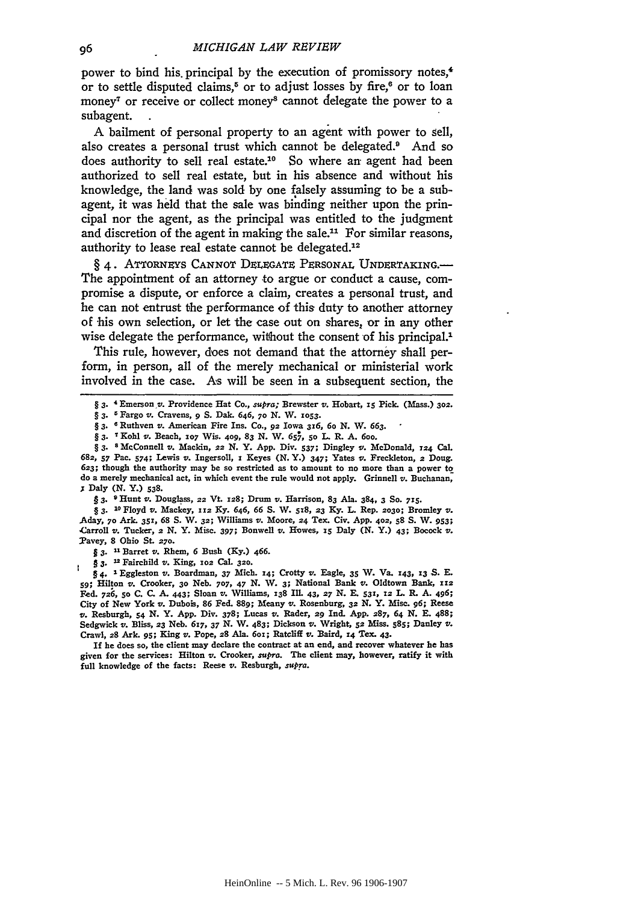power to bind his. principal **by** the execution of promissory notes,' or to settle disputed claims,<sup>5</sup> or to adjust losses by fire,<sup>6</sup> or to loan money<sup>7</sup> or receive or collect money<sup>8</sup> cannot delegate the power to a subagent.

A bailment of personal property to an agent with power to sell, also creates a personal trust which cannot be delegated.<sup>9</sup> And so does authority to sell real estate.<sup>10</sup> So where an agent had been authorized to sell real estate, but in his absence and without his knowledge, the land was sold by one falsely assuming to be a subagent, it was held that the sale was binding neither upon the principal nor the agent, as the principal was entitled to the judgment and discretion of the agent in making the sale.<sup>11</sup> For similar reasons, authority to lease real estate cannot be delegated.12

§ 4. ATTORNEYS CANNOT DELEGATE PERSONAL UNDERTAKING. The appointment of an attorney to argue or conduct a cause, compromise a dispute, or enforce a claim, creates a personal trust, and he can not entrust the performance of this duty to another attorney of his own selection, or let the case out on shares, or in any other wise delegate the performance, without the consent of his principal.<sup>1</sup>

This rule, however, does not demand that the attorney shall perform, in person, all of the merely mechanical or ministerial work involved in the case. As will be seen in a subsequent section, the

*§3.* 9Hunt v. Douglass, *22* Vt. **128;** Drum v. Harrison, **83** Ala. 384, **3 So. 715.**

*§3* **10** Floyd v. Mackey, *ix2* **Ky.** *646, 66* **S.** W. **528,** *23* **Ky.** L. Rep. **2030;** Bromley v. Aday, **7o** Ark. **351, 68 S.** W. **32;** Williams v. Moore, *24* Tex. Civ. **App. 402, 58 S.** W. **953;** ,Carroll v. Tucker, *2* **N. Y.** Misc. **397;** Bonwell v. Howes, *x5* Daly **(N.** Y.) 43; **Bocock v.** :Pavey, **8** Ohio St. *270.*

*§ 3.* **<sup>11</sup>**Barret *v.* Rhem, **6** Bush **(Ky.)** 466.

*§* **2** Fairchild v. King, **1o2** Cal. **320.**

54. 1 Eggleston v. Boardman, 37 Mich. 14; Crotty v. Eagle, 35 W. Va. 143, 13 S. E.<br>59; Hilton v. Crooker, 30 Neb. 707, 47 N. W. 3; National Bank v. Oldtown Bank, 112 Fed. *726,* **50 C. C. A.** 443; Sloan v. 'Williams, 138 IIl. 43, *27* **N. E. 531,** *z L.* R. **A.** 496; City of New York v. Dubois, **86** Fed. **889;** Meany **v.** Rosenburg, **32 N.** Y. Misc. *96;* Reese v. Resburgh, **54 N.** Y. **App.** Div. **378;** Lucas v. Rader, **29** Ind. **App.** *287,* 64 **N. E.** 488; Sedgwick v. Bliss, **23** Neb. **617,** *37* **N. xV.** 483; Dickson **v.** Wright, **52 Miss. 585;** Danley v. Crawl, 28 Ark. **95;** King V. **Pope,** *28* Ala. 6os; Ratcliff v. Baird, r4 Tex. 43.

**If** he does so, the client may declare the contract at an end, and recover whatever he has given for the services: Hilton v. Crooker, supra. The client may, however, ratify it with full knowledge of the facts: Reese v. Resburgh, *supra.*

<sup>§</sup> **3.** 4 Emerson v. Providence Hat **Co.,** *supra;* Brewster v. Hobart, 15 Pick. (Mass.) **302.**

*<sup>§</sup> 3.* **5** Fargo v. Cravens, **9 S.** Dak. **646,** *7o* **N.** W. **1053.**

*<sup>§</sup> 3.* **6** Ruthven v. American Fire Ins. **Co., 92** Iowa **3x6, 60 N.** W. *663.*

*<sup>§</sup> 3.* **1** Kohl v. Beach, **107** Wis. **409, 83 N.** W. **65, 50 L.** R. **A.** 6oo.

*<sup>§</sup>* **3. 8** McConnell v. Mackin, *22* **N.** Y. **App.** Div. **537;** Dingley v. McDonald, *724* CaL **682,** *57* Pac. **574;** Lewis v. Ingersoll, **2** Keyes **(N.** Y.) **347;** Yates v. Freckleton, 2 **Doug.** 623; though the authority may be so restricted as to amount to no more than a power to do a merely mechanical act, in which event the rule would not apply. Grinnell v. Buchanan, Daly **(N.** Y.) **538.**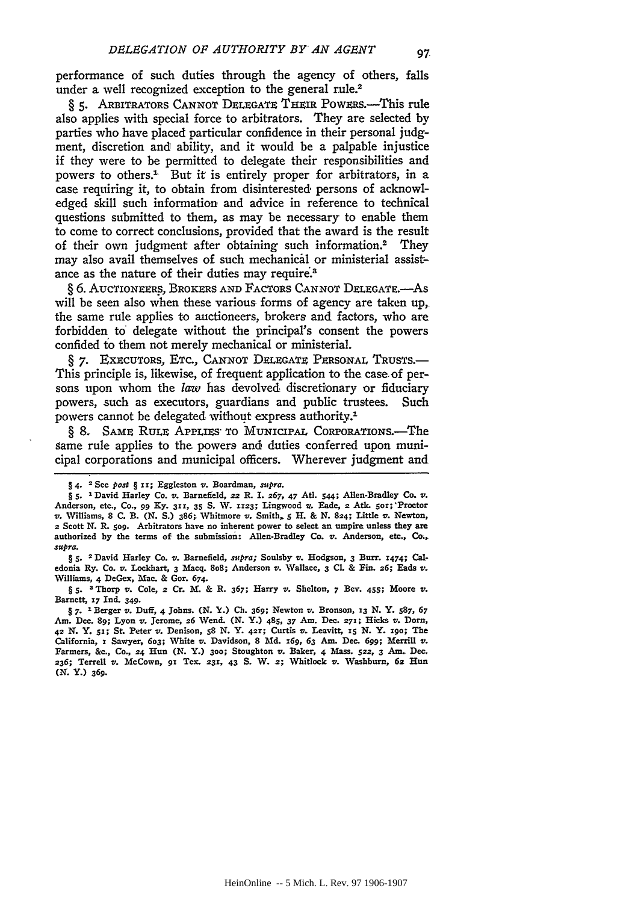performance of such duties through the agency of others, falls under a well recognized exception to the general rule.<sup>2</sup>

**§ 5.** ARBITRATORS CANNOT DELEGAT4 THEIR PowEis.-This rule also applies with special force to arbitrators. They are selected by parties who have placed particular confidence in their personal judgment, discretion and ability, and it would be a palpable injustice if they were to be permitted to delegate their responsibilities and powers to others.<sup>1</sup> But it is entirely proper for arbitrators, in a case requiring it, to obtain from disinterested, persons of acknowledged skill such information and advice in reference to technical questions submitted to them, as may be necessary to enable them to come to correct conclusions, provided that the award is the result of their own judgment after obtaining such information.2 They may also avail themselves of such mechanical or ministerial assistance as the nature of their duties may require.<sup>8</sup>

§ 6. Auctioneers, Brokers and Factors Cannot Delegate.—As will be seen also when these various forms of agency are taken up, the same rule applies to auctioneers, brokers and factors, who are forbidden to delegate without the principal's consent the powers confided to them not merely mechanical or ministerial.

§ 7. EXECUTORS, ETC., CANNOT DELEGATE PERSONAL TRUSTS.-This principle is, likewise, of frequent application to the case of persons upon whom the law has devolved discretionary or fiduciary powers, such as executors, guardians and public trustees. Such powers cannot be delegated without express authority.'

§ 8. SAME RULE APPLIES TO MUNICIPAL CORPORATIONS.<sup>-The</sup> same rule applies to the powers and duties conferred upon municipal corporations and municipal officers. Wherever judgment and

*§* **5.** 2 David **Harley** Co. **vt. Barnefield,** *supra;* Soulsby **v. Hodgson, 3 Burr. 1474;** Caledonia **Ry. Co. v.** Lockhart, **3 Macq. 8o;** Anderson **vt.** Wallace, **3 CL &** Fin. **26;** Eads *it.* Williams, **4** DeGex, **Mac. & Gor.** 674.

§ **7. 'Berger v.** Duff, **4 Johns. (N. i.) Ch. 369; Newton** v. **Bronson, 13 N. Y. 587, 67 Am. Dec. 89; Lyon it. Jerome, 26** Wend. **(N. Y.) 485, 37 Am.** Dec. **271; Hicks it. Dorn, 42 N. Y.** 51; **St. Peter i. Denison, 58 N. Y. 42r; Curtis** v. **Leavitt, x5 N. Y. x9o; The California, x Sawyer, 603; White v,. Davidson, 8 Md.** *x6g,* **63 Am.** Dec. **699; Merrill** *t.* Farmers, &c., Co., 24 Hun (N. Y.) 300; Stoughton v. Baker, 4 Mass. 522, 3 Am. Dec.<br>236; Terrell v. McCown, 91 Tex. 231, 43 S. W. 2; Whitlock v. Washburn, 62 Hun **(N. Y.) 369.**

HeinOnline -- 5 Mich. L. Rev. 97 1906-1907

*<sup>§</sup>* **4 'See** *post §* **ir; Eggleston vt. Boardman,** *supra.*

<sup>§</sup> **S. 'David Harley Co.** v. Barnefeld, 22 **R. I. 267,** 47 **At. 544;** Allen-Bradley **Co. v. Anderson, etc., Co.,** *99* **Ky. 311, 35 S. 'W. Z123; Lingwood Zt. Eade,** 2 **Atk. Sor;'Proctor v.** Williams, **8 C.** B. **(N. S.) 386;** Whitmore **v. Smith,.** S **H. & N. 824;** Little **v. Newton,** 2 **Scott N. R. 5o9.** Arbitrators **have no** inherent **power to** select an **umpire** unless **they are authorized by the terms of** the submission: **Allen-Bradley Co.** v. **Anderson, etc., Co.,** *su* pra.

*<sup>§</sup>* **5. 3Thorp v.** Cole, *2* **Cr. M. & R. 367; Harry v.** Shelton, **7 Bev. 455; Moore v.** Barnett, 17 Ind. 349.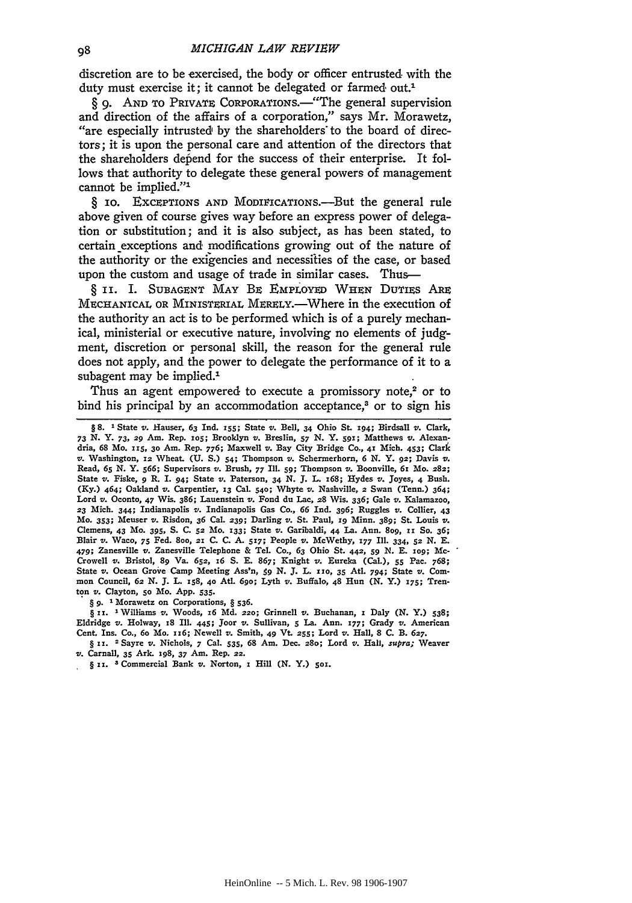discretion are to be exercised, the body or officer entrusted, with the duty must exercise it; it cannot be delegated or farmed out.<sup>1</sup>

§ 9. AND TO PRIVATE CORPORATIONS.<sup>-----</sup>The general supervision and direction of the affairs of a corporation," says Mr. Morawetz, "are especially intrusted by the shareholders to the board of directors; it is upon the personal care and attention of the directors that the shareholders depend for the success of their enterprise. It follows that authority to delegate these general powers of management cannot be implied."<sup>1</sup>

§ **10.** EXCEPTIONS AND MODIFICATIONS.-But the general rule above given of course gives way before an express power of delegation or substitution; and it is also subject, as has been stated, to certain exceptions and modifications growing out of the nature of the authority or the exigencies and necessities of the case, or based upon the custom and usage of trade in similar cases. Thus-

§ II. I. SUBAGENT MAY BE EMPLOYED WHEN DUTIES ARE MECHANICAL OR MINISTERIAL MERELY.—Where in the execution of the authority an act is to be performed which is of a purely mechanical, ministerial or executive nature, involving no elements of judgment, discretion or personal skill, the reason for the general rule does not apply, and the power to delegate the performance of it to a subagent may be implied.'

Thus an agent empowered to execute a promissory note, $2$  or to bind his principal by an accommodation acceptance,<sup>3</sup> or to sign his

§ **9. 1** Morawetz on Corporations, § **536.**

§ **i** . IWilliams *v.* Woods, 16 **Md. 220;** Grinnell v. Buchanan, **x** Daly **(N. Y.) 538;** Eldridge v. Holway, **z8 Ill. 445;** Joor v. Sullivan, **5** La. Ann. **177;** Grady *v.* American Cent Ins. Co., 6o Mo. 116; Newell v. Smith, 49 Vt. **255;** Lord v. Hall, **8 C.** B. *627.*

§ **1,.** 2 Sayre v. Nichols, **7** Cal. **535, 68** Am. Dec. 28o; Lord v. Hall, *supra;* Weaver v. Carnall, **35** Ark. **198, 37** Am. Rep. *22.*

§ **1. 3** Commercial Bank v. Norton, i Hill **(N.** Y.) 5ol.

**<sup>§8.</sup> 1** State v. Hauser, **63 Ind. z55;** State *v.* Bell, 34 Ohio **St.** x94; Birdsall v. Clark, 73 **N.** Y. **73,** *29* Am. Rep. xos; Brooklyn v. Breslin, **57 N.** Y. **59x;** Matthews v. Alexandria, **68** Mo. **11S, 30** Am. Rep. **776;** Maxwell v. Bay City Bridge **Co., 41** Mich. 453; Clark v. Washington, 12 Wheat. **(U. S.) 54;** Thompson v. Schermerhorn, *6* **N.** Y. **92;** Davis v. Read, **65 N.** Y. **566;** Supervisors v. Brush, **77 Ill. 59;** Thompson v. Boonville, 61 Mo. **282;** State v. Fiske, **9** R. I. **94;** State v. Paterson, 34 **N. J.** L. **z68;** Hydes v. J yes, 4 Bush. (Ky.) 464; Oakland v. Carpentier, **13** Cal. **540;** Whyte v. Nashville, a Swan (Tenn.) 364; Lord v. Oconto, 47 Wis. **386;** Lauenstein v. Fond du Lac, **28** Wis. **336;** Gale v. Kalamazoo, **23** Mich. 344; Indianapolis v. Indianapolis Gas Co., **66 Ind. 396;** Ruggles *v.* Collier, 43 Mo. **353;** Meuser v. Risdon, **36** Cal. **239;** Darling v. St. Paul, *x9* Minn. **389; St.** Louis v. Clemens, 43 Mo. **395, S. C. 52** Mo. **133;** State v. Garibaldi, **44** La. Ann. **8o9, 11 So.** *36;* Blair *v.* Waco, **75** Fed. **800,** 21 **C. C. A. 517;** People *v.* McWethy, **177** Ill. 334, **52** N. **E.** 479; Zanesville *v.* Zanesville Telephone **&** Tel. Co., **63** Ohio St. **442, 59 N. E. og;** Mc-Crowell v. Bristol, **89 Va. 652,** 16 **S. E. 867;** Knight *v.* Eureka (Cal.), **55** Pac. **768;** State v. Ocean Grove Camp Meeting Ass'n, *g9* **N. J.** L. **11o, 35** Atl. **794;** State v. **Com**mon Council, **62 N. J.** L. **158, 4o** Atl. **69o;** Lyth v. Buffalo, 48 Hun **(N.** Y.) **175;** Trenton v. Clayton, So Mo. **App. 535.**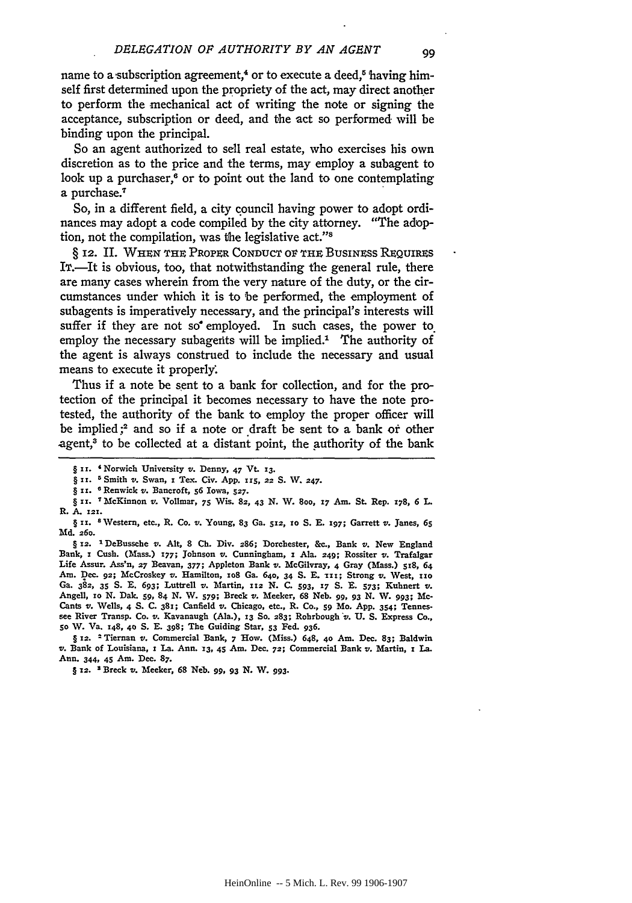99

name to a subscription agreement,<sup>4</sup> or to execute a deed,<sup>5</sup> having himself first determined upon the propriety of the act, may direct another to perform the mechanical act of writing the note or signing the acceptance, subscription or deed, and the act so performed will be binding upon the principal.

So an agent authorized to sell real estate, who exercises his own discretion as to the price and the terms, may employ a subagent to look up a purchaser,<sup>6</sup> or to point out the land to one contemplating a purchase.7

So, in a different field, a city council having power to adopt ordinances may adopt a code compiled by the city attorney. "The adoption, not the compilation, was the legislative act."<sup>8</sup>

§ **12.** II. WHEN THE PROPER CONDUCT OF THE BUSINESS REQuIRES IT.—It is obvious, too, that notwithstanding the general rule, there are many cases wherein from the very nature of the duty, or the circumstances under which it is to be performed, the employment of subagents is imperatively necessary, and the principal's interests will suffer if they are not so<sup>t</sup> employed. In such cases, the power to employ the necessary subagents will be implied.<sup>1</sup> The authority of the agent is always construed to include the necessary and usual means to execute it properly.

Thus if a note be sent to a bank for collection, and for the protection of the principal it becomes necessary to have the note protested, the authority of the bank to employ the proper officer will be implied **;2** and so if a note or draft be sent to a bank of other agent, $3$  to be collected at a distant point, the authority of the bank

<sup>§</sup> **xi .** 4 Norwich University v. Denny, 47 **Vt. 13.**

<sup>§</sup> **xi. 5** Smith **v.** Swan, x **Tex.** Civ. **App. u15, 22 S. V.** 247.

<sup>§</sup> **xx. 'Renwick v.** Bancroft, **56** Iowa, **527.**

<sup>§</sup> **x. IMcKinnon v.** Vollmar, **7S** Wis. **82, 43 N. W. 8oo, 17 Am. St. Rep. 178, 6 L. R.** *A.* **12x.**

<sup>§</sup> **rx. "Western, etc., R. Co. v. Young, 83 Ga. 512, TO S. E. 197; Garrett v. Janes, 65 Md. 260.**

<sup>§</sup> **12. <sup>1</sup>**DeBussche **v.** Alt, **8 Ch.** Div. **286;** Dorchester, &c., Bank **v.** New England Bank, z Cush. (Mass.) **177;** Johnson **v.** Cunningham, **z** Ala. **249;** Rossiter **v.** Trafalgar Life Assur. Ass'n, **27** Beavan, **377;** Appleton Bank **v.** McGilvray, **4** Gray (Mass.) **Sx8,** 64 Am. Dec. **92;** McCroskey **v.** Hamilton, xo8 Ga. **64o, 34 S. E. x1;** Strong *v'.* West, **xo** Ga. **382, 35 S. E. 693;** Luttrell **v.** Martin, **x2 N. C. 593, 17 S. E. 573;** Kuhnert **v.** Angell, xo **N.** Dak. **59,** 84 **N.** W. **579;** Breck **v.** Meeker, **68** Neb. **99, 93 N.** W. **993; Mc-**Cants **v.** Wells, 4 **S. C.** 38!; Canfield **v.** Chicago, etc., R. Co., **59** Mo. **App. 354;** Tennessee River Transp. Co. **v.** Kavanaugh (Ala.), **13 So. 283;** Rohrbough *a'.* **U. S.** Express Co., So **V.** Va. **148, 40 S. E. 398;** The Guiding Star, **53** Fed. **936.**

<sup>§</sup> **12.** 2-Tiernan *v'.* Commercial Bank, **7** How. (Miss.) 648, **40** Am. Dec. **83;** Baldwin **v.** Bank of Louisiana, x La. Ann. **13,** 45 Am. Dec. **72;** Commercial Bank **v.** Martin, **x** La. Ann. **344,** 45 Am. Dec. **87.**

<sup>§</sup> **12. 3** Breck **v.** Meeker, **68** Neb. **99, 93 N.** W. **993.**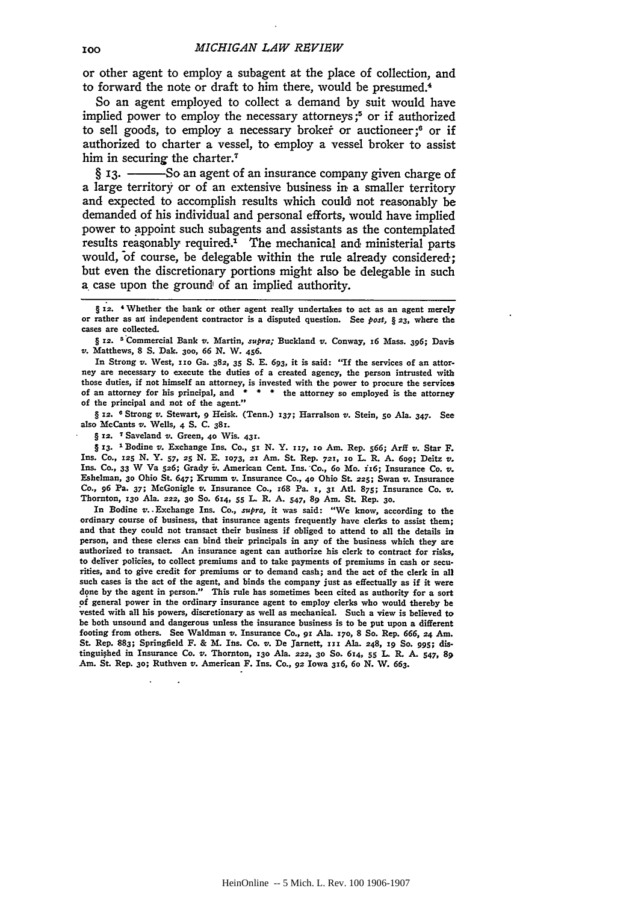or other agent to employ a subagent at the place of collection, and to forward the note or draft to him there, would be presumed.4

So an agent employed to collect a demand by suit would have implied power to employ the necessary attorneys *;5* or if authorized to sell goods, to employ a necessary broker or auctioneer;<sup>6</sup> or if authorized to charter a vessel, to employ a vessel broker to assist him in securing the charter.<sup>7</sup>

§ 13. ——So an agent of an insurance company given charge of a large territory or of an extensive business in a smaller territory and expected to accomplish results which could not reasonably be demanded of his individual and personal efforts, would have implied power to appoint such subagents and assistants as the contemplated results reasonably required.' The mechanical and ministerial parts would, of course, be delegable within the rule already considered; but even the discretionary portions might also be delegable in such a case upon the ground of an implied authority.

In Strong v. West, iio Ga. **382, 35 S. E. 693,** it is said: "If the services of an attorney are necessary to execute the duties of a created agency, the person intrusted with those duties, if not himself an attorney, is invested with the power to procure the services of an attorney for his principal, and  $* * *$  the attorney so employed is the attorney \* the attorney so employed is the attorney of the principal and not of the agent."

§ *12.* **6** Strong v. Stewart, **9** Heisk. (Tenn.) **137;** Harralson *v.* Stein, 5o Ala. 347. See also McCants v. Wells, 4 **S. C. 381.**

§ **12. I** Saveland v. Green, **40** Wis. **431.**

*§ 13.* %Bodine v. Exchange Ins. Co., *Si* **N.** Y. u17, io Am. Rep. **566;** Arff v. Star F. Ins. Co., 33 W Va 526; Grady v. American Cent. Ins. Co., 60 Mo. 116; Insurance Co. v. Eshelman, **30** Ohio St. 647; Krumm. v. Insurance **Co., 40** Ohio **St. 225;** Swan V. Insurance Co., **96** Pa. **37;** McGonigle v. Insurance Co., **x68** Pa. **1, 3** At]. **875;** Insurance Co. v. Thornton, **13o** Ala. *222,* **30** So. 614, *55* **L.** R. **A. 547,** *89* Am. **St.** Rep. **3o.**

In Bodine **%.** .Exchange Ins. Co., *supra,* it was said: "We know, according to the ordinary course of business, that insurance agents frequently have clerks to assist them; and that they could not transact their business if obliged to attend to all the details in person, and these clerxs can bind their principals in any of the business which they are authorized to transact. An insurance agent can authorize his clerk to contract for risks, to deliver policies, to collect premiums and to take payments of premiums in cash or securities, and to give credit for premiums or to demand cash; and the act of the clerk in all such cases is the act of the agent, and binds the company just as effectually as if it were done **by** the agent in person." This rule has sometimes been cited as authority for a sort **of** general power in the ordinary insurance agent to employ clerks who would thereby be vested with all his powers, discretionary as well as mechanical. Such a view is believed to **be** both unsound and dangerous unless the insurance business is to be put upon a different footing from others. See Waldman v. Insurance Co., 9! Ala. **17o, 8** So. Rep. **666,** *24* Am. St. Rep. **883;** Springfield F. **&** M. Ins. Co. v. **De** Jarnett, isi Ala. **248, 19** So. **99S;** distinguished in Insurance Co. v. Thornton, **13o** Ala. *222,* **30** So. 614, **55** L **R. A.** 547, **89** Am. St. Rep. 3o; Ruthven v. American F. Ins. **Co., 92** Iowa **316,** *6o* **N.** *W. 663.*

<sup>§ 12. &</sup>lt;sup>4</sup> Whether the bank or other agent really undertakes to act as an agent merely or rather as **arf** independent contractor is a disputed question. See *post, § 23,* where the cases are collected.

<sup>§</sup> **r2.** 5"Commercial Bank v. Martin, *supra;* Buckland v. Conway, 16 Mass. **396;** Davis v. Matthews, **8 S.** Dak. **3oo,** *66* **N.** W. 456.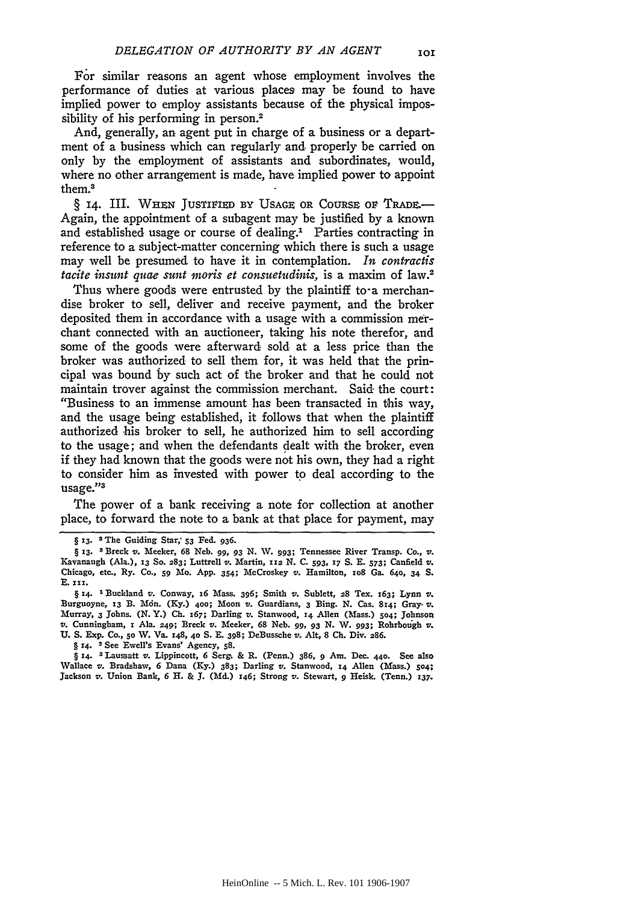IOI

For similar reasons an agent whose employment involves the performance of duties at various places may be found to have implied power to employ assistants because of the physical impossibility of his performing in person. 2

And, generally, an agent put in charge of a business or a department of a business which can regularly and, properly be carried on only by the employment of assistants and subordinates, would, where no other arrangement is made, have implied power to appoint them.'

§ 14. III. WHEN JUSTIFIED BY USAGE OR COURSE OF TRADE.— Again, the appointment of a subagent may be justified by a known and established usage or course of dealing.<sup>1</sup> Parties contracting in reference to a subject-matter concerning which there is such a usage may well be presumed to have it in contemplation. *In contractis tacite insunt quac* sunt *moris et consuetudinis,* is a maxim of law.2

Thus where goods were entrusted by the plaintiff to a merchandise broker to sell, deliver and receive payment, and the broker deposited them in accordance with a usage with a commission merchant connected with an auctioneer, taking his note therefor, and some of the goods were afterward sold at a less price than the broker was authorized to sell them for, it was held that the principal was bound **by** such act of the broker and that he could not maintain trover against the commission merchant. Said the court: "Business to an immense amount has been transacted in this way, and the usage being established, it follows that when the plaintiff authorized his broker to sell, he authorized him to sell according to the usage; and when the defendants dealt with the broker, even if they had known that the goods were not his own, they had a right to consider him as invested with power to deal according to the usage."<sup>3</sup>

The power of a bank receiving a note for collection at another place, to forward the note to a bank at that place for payment, may

*§* **33.** 2 **The Guiding** Star; **53** Fed. **936.**

§ **14.** 2 **See Ewell's Evans' Agency, 58.**

§ **14. 3 Laussatt v. Lippincott, 6 Serg. & R. (Penn.) 386, 9 Am. Dec. 440. See also 'Wallace v. Bradshaw, 6 Dana (Ky.) 383; Darling v. Stanwood, 14 Allen (Mass.) 504; Jackson v. Union Bank, 6 H. & J. (Md.) 346; Strong v. Stewart, 9 Heisk. (Tenn.) 137.**

<sup>§</sup> **x3. 3 Breck v. Meeker, 68** Neb. **99, 93 N. 'V. 993;** Tennessee **River Transp. Co., v. Kavanaugh (Ala.), 23 So. 283; Luttrell v. Martin, x12 N. C.** *S93,* **17 S. E. 573; Canfield v. Chicago, etc., Ry. Co., 59 Mo. App. 354; McCroskey v. Hamilton, xo8 Ga. 640, 34 S. E. III.**

<sup>§</sup> **14.** 2 **Buckland** *v.* **Conway, 16** Mass. **396; Smith** *v.* **Sublett, 28 Tex.** 163; **Lynn** *v.* Burguoyne, 13 B. Mon. (Ky.) 400; Moon v. Guardians, 3 Bing. N. Cas. 814; Gray- v. **Murray, 3 Johns. (N. Y.) Ch. 167; Darling** *v.* **Stanwood,** 14 **Allen (Mass.) 5o4; Johnson v. Cunningham,** I **Ala. 249; Breck v. Meeker, 68 Neb. 99, 93 N.** W. **993; Rohrbouigh v. U. S. Exp. Co., 5o %V. Va. 348, 40 S. E. 398; DeBussche v. Alt, 8 Ch. Div. 286.**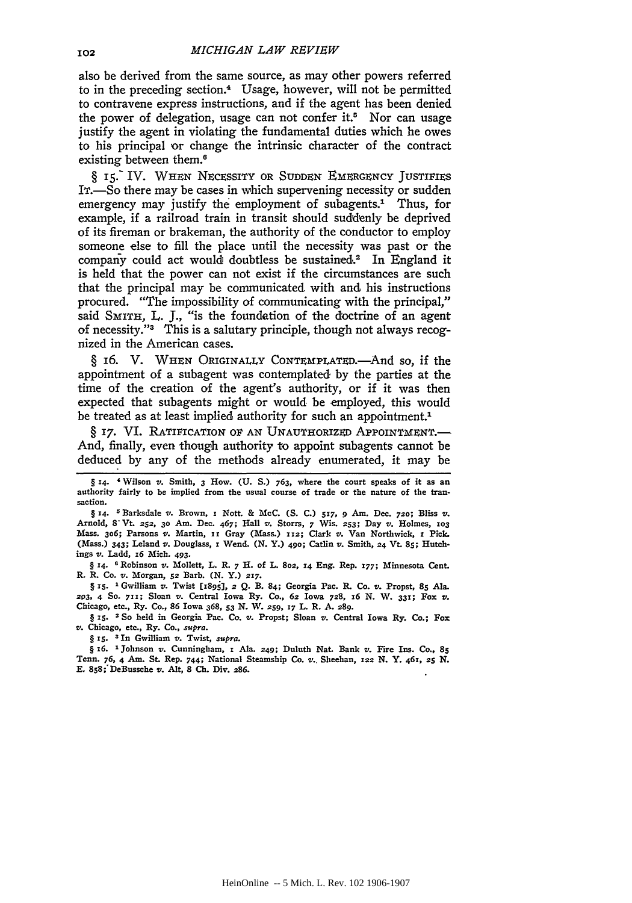also be derived from the same source, as may other powers referred to in the preceding section.4 Usage, however, will not be permitted to contravene express instructions, and if the agent has been denied the power of delegation, usage can not confer it.<sup>5</sup> Nor can usage justify the agent in violating the fundamental duties which he owes to his principal or change the intrinsic character of the contract existing between them.<sup>6</sup>

**§ 15."** IV. WHEN **NECEssITy** OR **SUDDEN EMERGENCY** JUSTIFIES IT.—So there may be cases in which supervening necessity or sudden emergency may justify the employment of subagents.' Thus, for example, if a railroad train in transit should suddenly be deprived of its fireman or brakeman, the authority of the conductor to employ someone else to fill the place until the necessity was past or the company could act would doubtless be sustained.<sup>2</sup> In England it is held that the power can not exist if the circumstances are such that the principal may be communicated with and his instructions procured. "The impossibility of communicating with the principal," said SMITH, L. J., "is the foundation of the doctrine of an agent of necessity."3 This is a salutary principle, though not always recognized in the American cases.

§ **16.** V. WHEN ORIGINALLY CONTEMPLATED.—And so, if the appointment of a subagent was contemplated, by the parties at the time of the creation of the agent's authority, or if it was then expected that subagents might or would be employed, this would be treated as at least implied authority for such an appointment.<sup>1</sup>

§ 17. VI. RATIFICATION OF AN UNAUTHORIZED APPOINTMENT.— And, finally, even though authority to appoint subagents cannot be deduced by any of the methods already enumerated, it may be

§ **14. 5** Bark <sup>s</sup> dale v. Brown, i Nott. & McC. (S. **C.)** *517,* 9 Am. Dec. **720;** Bliss v. Arnold, 8"Vt. **252, 3o** Am. Dec. 467; Hall **v.** Storrs, **7** Wis. **253;** Day v. Holmes, **103** Mass. 3o6; Parsons **v.** Martin, **ii** Gray (fass.) 112; Clark **v'.** Van Northwick, **z** Pick. (Mass.) 343; Leland **v.** Douglass, **x** Wend. **(N. Y.) 490;** Catlin **v.** Smith, **24 Vt. 85;** Hutch**ings** v. Ladd, **z6** Mich. 493.

§ **14. 6** Robinson **v'.** Mollett, L. R. **7** H. of L. **802,** 14 Eng. Rep. **177;** Minnesota Cent. R. R. Co. **v,.** Morgan, *52* Barb. **(N.** Y.) **217.**

§ **15. I** Gwilliam **v,.** Twist **[1895],** *2* **Q.** B. 84; Georgia Pac. R. Co. **v.** Propst, **85** Ala. **203, 4 So. 711;** Sloan **v.** Central Iowa Ry. Co., **62** Iowa **728,** 16 **N.** W. **331;** Fox **v.** Chicago, etc., Ry. Co., 86 Iowa **368, 53 N.** W. **259, 17** L. R. **A. 289.**

§ 15. <sup>2</sup> So held in Georgia Pac. Co. v. Propst; Sloan v. Central Iowa Ry. Co.; Fox **V'.** Chicago, etc., Ry. Co., *supra.*

§ **r5. 3 In** Gwilliam **v.** Twist, *supra.*

§ **16. '** Johnson **v,.** Cunningham, i Ala. **249;** Duluth Nat. Bank **v.** Fire Ins. Co., **85** Tenn. **76,** 4 Am. **St.** Rep. 744; National Steamship Co. **z..** Sheehan, *122* **N. Y.** 46z, *25* **N. E.** 858 *;* DeBussche **v.** Alt, **8 Ch.** Div. **286.**

<sup>§</sup> **14.** 4 Wilson v. Smith, 3 How. **(U. S.)** 763, where the court speaks of it as an authority fairly to be implied from the usual course of trade or the nature of the transaction.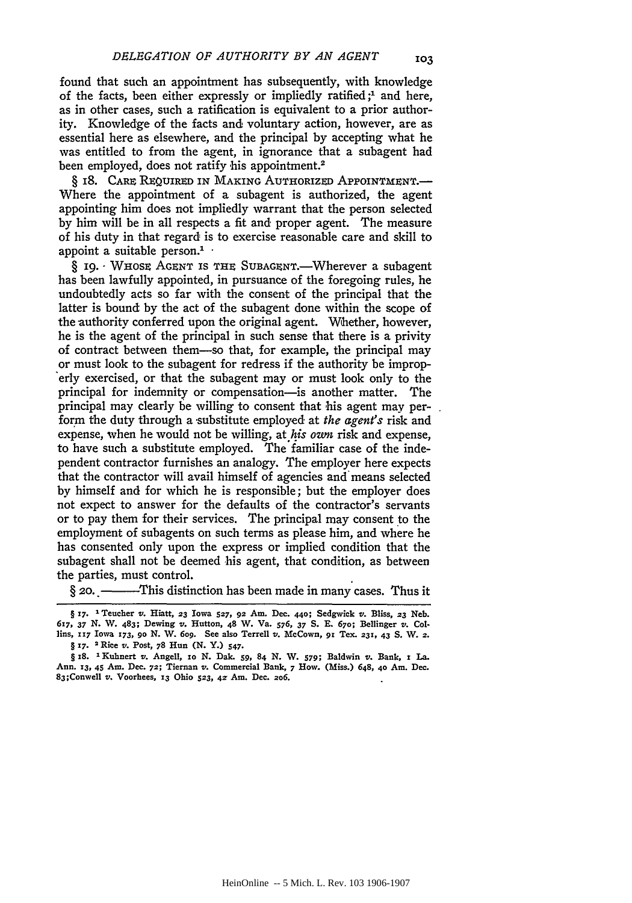103

found that such an appointment has subsequently, with knowledge of the facts, been either expressly or impliedly ratified;' and here, as in other cases, such a ratification is equivalent to a prior authority. Knowledge of the facts and voluntary action, however, are as essential here as elsewhere, and the principal by accepting what he was entitled to from the agent, in ignorance that a subagent had been employed, does not ratify his appointment.<sup>2</sup>

§ I8. CARE **REQUIRED** IN MAKING AUTHORIZED APPOINTMENT.- Where the appointment of a subagent is authorized, the agent appointing him does not impliedly warrant that the person selected by him will be in all respects a fit and proper agent. The measure of his duty in that regard is to exercise reasonable care and skill to appoint a suitable person.<sup>1</sup>

§ 19. WHOSE AGENT IS THE SUBAGENT.—Wherever a subagent has been lawfully appointed, in pursuance of the foregoing rules, he undoubtedly acts so far with the consent of the principal that the latter is bound **by** the act of the subagent done within the scope of the authority conferred upon the original agent. Whether, however, he is the agent of the principal in such sense that there is a privity of contract between them-so that, for example, the principal may or must look to the subagent for redress if the authority be improperly exercised, or that the subagent may or must look only to the principal for indemnity or compensation- is another matter. The principal may clearly be willing to consent that his agent may perform the duty through a substitute employed at *the agent's* risk and expense, when he would not be willing, at *his own* risk and expense, to have such a substitute employed. The familiar case of the independent contractor furnishes an analogy. The employer here expects that the contractor will avail himself of agencies and'means selected **by** himself and for which he is responsible; but the employer does not expect to answer for the defaults of the contractor's servants or to pay them for their services. The principal may consent to the employment of subagents on such terms as please him, and where he has consented only upon the express or implied condition that the subagent shall not be deemed his agent, that condition, as between the parties, must control.

§ 20.. This distinction has been made in many cases. Thus it

<sup>§</sup> *17.* **'Teucher v. Hiatt, 23** Iowa **527, 92 Am. Dec. 44o; Sedgwick v. Bliss, 23 Neb. 617,** *37* **N. W. 483; Dewing v. Hutton, 48 W. Va.** *576,* **37 S. E.** *67o;* **Bellinger v. Collins,** *117* **Iowa 173, go N. NV. 6og. See** also **Terrell v. McCown, g9** Tex. **231, 43 S. W.** *2.* § **17. 2 Rice v. Post, 78 Hun (N. Y.) 547.**

<sup>§ 18. &</sup>lt;sup>1</sup> Kuhnert v. Angell, 10 N. Dak. 59, 84 N. W. 579; Baldwin v. Bank, 1 La. **Ann. 13, 45 Am. Dec. 72; Tiernan v. Commercial Bank, 7 How. (Miss.) 648, 4o Am. Dec. 83;Conwell v. Voorhees, 13 Ohio 523,** *4z* **Am. Dec. 2o6.**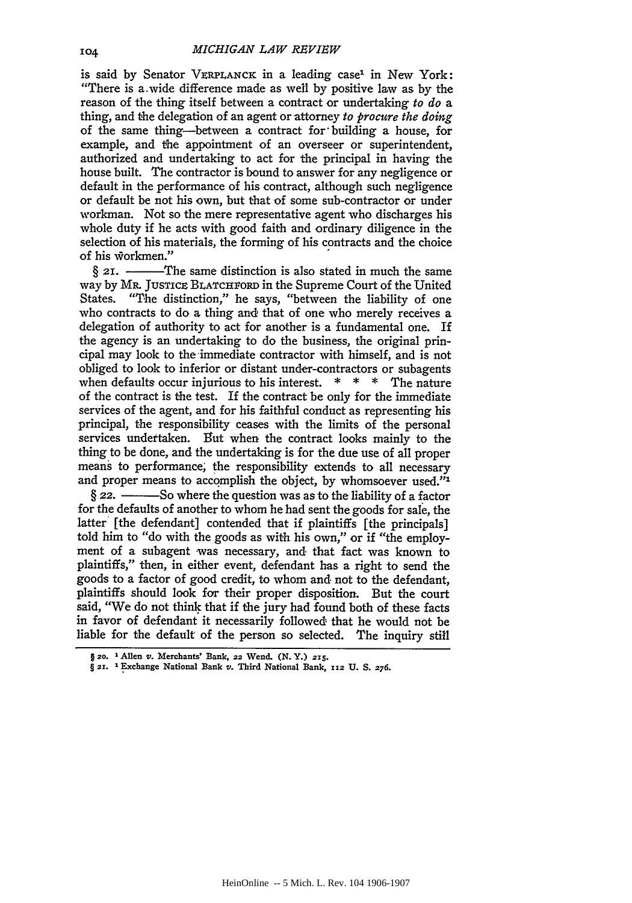is said by Senator VERPLANCK in a leading case<sup>1</sup> in New York: "There is a.wide difference made as well by positive law as by the reason of the thing itself between a contract or undertaking *to do* a thing, and the delegation of an agent or attorney *to procure the doing* of the same thing-between a contract for" building a house, for example, and the appointment of an overseer or superintendent, authorized and undertaking to act for the principal in having the house built. The contractor is bound to answer for any negligence or default in the performance of his contract, although such negligence or default be not his own, but that of some sub-contractor or under workman. Not so the mere representative agent who discharges his whole duty if he acts with good faith and ordinary diligence in the selection of his materials, the forming of his contracts and the choice of his workmen."

 $\S$  21.  $\rightarrow$  The same distinction is also stated in much the same way by MR. JUSTICE BLATCHFORD in the Supreme Court of the United States. "The distinction," he says, "between the liability of one who contracts to do a thing and that of one who merely receives a delegation of authority to act for another is a fundamental one. If the agency is an undertaking to do the business, the original principal may look to the-immediate contractor with himself, and is not obliged to look to inferior or distant under-contractors or subagents when defaults occur injurious to his interest. **\* \* \*** The nature of the contract is the test. If the contract be only for the immediate services of the agent, and for his faithful conduct as representing his principal, the responsibility ceases with the limits of the personal services undertaken. But when the contract looks mainly to the thing to be done, and the undertaking is for the due use of all proper means to performance; the responsibility extends to all necessary and proper means to accomplish the object, by whomsoever used."<sup>1</sup>

§ 22. ——So where the question was as to the liability of a factor for the defaults of another to whom he had sent the goods for sale, the latter [the defendant] contended that if plaintiffs [the principals] told him to "do with the goods as with his own," or if "the employment of a subagent was necessary, and that fact was known to plaintiffs," then, in either event, defendant has a right to send the goods to a factor of good credit, to whom and. not to the defendant, plaintiffs should look for their proper disposition. But the court said, "We do not think that if the jury had found both of these facts in favor of defendant it necessarily followed that he would not be liable for the default of the person so selected. The inquiry still

**<sup>§</sup> 2o. Allen v. Merchants'** Bank, 22 **Wend. (N.** Y.) **215.**

<sup>§</sup> *2r.* **Exchange National Bank v. Third National Bank,** *Z12* **U. S. 276.**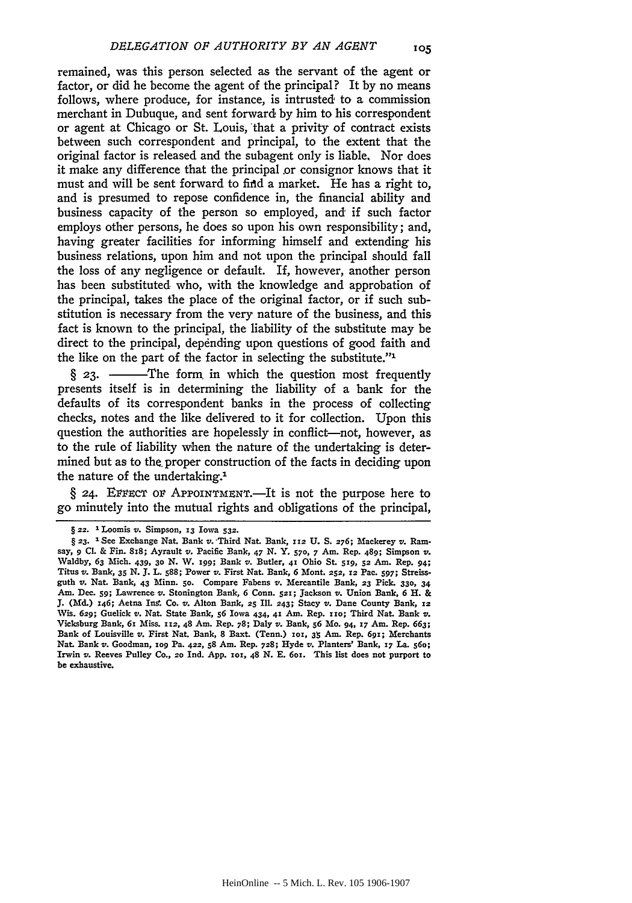remained, was this person selected as the servant of the agent or factor, or did he become the agent of the principal? It by no means follows, where produce, for instance, is intrusted to a commission merchant in Dubuque, and sent forward by him to his correspondent or agent at Chicago or St. Louis, that a privity of contract exists between such correspondent and principal, to the extent that the original factor is released and the subagent only is liable, Nor does it make any difference that the principal or consignor knows that it must and will be sent forward to find a market. He has a right to, and is presumed to repose confidence in, the financial ability and business capacity of the person so employed, and if such factor employs other persons, he does so upon his own responsibility; and, having greater facilities for informing himself and extending his business relations, upon him and not upon the principal should fall the loss of any negligence or default. If, however, another person has been substituted who, with the knowledge and approbation of the principal, takes the place of the original factor, or if such substitution is necessary from the very nature of the business, and this fact is known to the principal, the liability of the substitute may be direct to the principal, depending upon questions of good faith and the like on the part of the factor in selecting the substitute."'

§ 23. — The form in which the question most frequently presents itself is in determining the liability of a bank for the defaults of its correspondent banks in the process of collecting checks, notes and the like delivered to it for collection. Upon this question the authorities are hopelessly in conflict-not, however, as to the rule of liability when the nature of the undertaking is determined but as to the, proper construction of the facts in deciding upon the nature of the undertaking.1

§ 24. EFFECT OF APPOINTMENT.—It is not the purpose here to go minutely into the mutual rights and obligations of the principal,

<sup>§</sup> *22.* **2** Loomis v. **Simpson, 13** Iowa **332.**

<sup>§</sup> *23.* **'See Exchange Nat.** Bank **v. 'Third Nat. Bank,** *112* **U. S. 276;** Mackerey **v. Ramsay, 9 Cl. &** Fin. **818; Ayrault** v. **Pacific Bank, 47 N. Y. 570, 7 Am. Rep. 489; Simpson v. NValdby, 63 Mich. 439, 3o N. W.** i99; **Bank v. Butler, 41 Ohio St. 519, 52 Am. Rep. 94; Titus v. Bank, 35 N.** *J.* **L. 588; Power v. First Nat. Bank, 6 Mont.** 252, **z2 Pac. 597; Streissguth v.** Nat. **Bank, 43 Minn. 5o. Compare** Fabens **v. Mercantile Bank,** *23* **Pick. 330, 34 Am. Dec. 59; Lawrence v. Stonington Bank, 6 Conn. 521; Jackson v. Union Bank, 6 H. & J. (Md.) 146; Aetna** Ins. **Co. v. Alton Bank, 25 Ill. 243; Stacy v. Dane County Bank, ,2 Vis. 629; Guelick v.** Nat. **State Bank, 56 Iowa 434, 41 Am. Rep. izo; Third** Nat. **Bank v. Vicksburg Bank, 61 Miss.** 112, 48 **Am. Rep. 78; Daly v. Bank, 56 Mo. 94,** *17* **Am. Rep. 663; Bank of Louisville v. First Nat. Bank, 8 Baxt. (Tenn.) xoz, 3 Am. Rep. 691; Merchants Nat. Bank v. Goodman, iog Pa.** *422,* **58 Am. Rep. 728; Hyde v. Planters' Bank, 17 La. 56o; Irwin v. Reeves Pulley Co.,** *20* **Ind. App. 1o, 48 N. E. 6oi. This list does not purport to be exhaustive.**